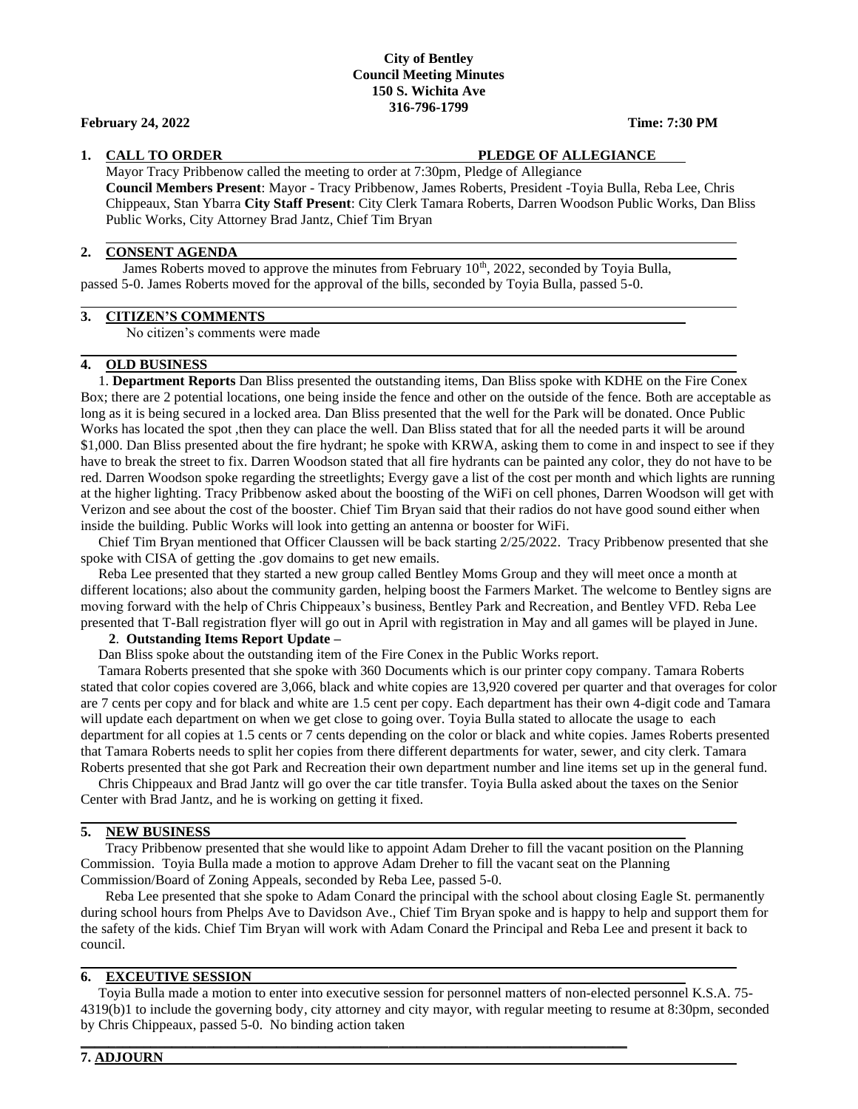## **City of Bentley Council Meeting Minutes 150 S. Wichita Ave 316-796-1799**

## **February 24, 2022 Time: 7:30 PM**

### **1. CALL TO ORDER PLEDGE OF ALLEGIANCE**

Mayor Tracy Pribbenow called the meeting to order at 7:30pm, Pledge of Allegiance **Council Members Present**: Mayor - Tracy Pribbenow, James Roberts, President -Toyia Bulla, Reba Lee, Chris Chippeaux, Stan Ybarra **City Staff Present**: City Clerk Tamara Roberts, Darren Woodson Public Works, Dan Bliss Public Works, City Attorney Brad Jantz, Chief Tim Bryan

#### **2. CONSENT AGENDA**

James Roberts moved to approve the minutes from February  $10<sup>th</sup>$ , 2022, seconded by Toyia Bulla, passed 5-0. James Roberts moved for the approval of the bills, seconded by Toyia Bulla, passed 5-0.

## **3. CITIZEN'S COMMENTS**

No citizen's comments were made

## **4. OLD BUSINESS**

 1. **Department Reports** Dan Bliss presented the outstanding items, Dan Bliss spoke with KDHE on the Fire Conex Box; there are 2 potential locations, one being inside the fence and other on the outside of the fence. Both are acceptable as long as it is being secured in a locked area. Dan Bliss presented that the well for the Park will be donated. Once Public Works has located the spot ,then they can place the well. Dan Bliss stated that for all the needed parts it will be around \$1,000. Dan Bliss presented about the fire hydrant; he spoke with KRWA, asking them to come in and inspect to see if they have to break the street to fix. Darren Woodson stated that all fire hydrants can be painted any color, they do not have to be red. Darren Woodson spoke regarding the streetlights; Evergy gave a list of the cost per month and which lights are running at the higher lighting. Tracy Pribbenow asked about the boosting of the WiFi on cell phones, Darren Woodson will get with Verizon and see about the cost of the booster. Chief Tim Bryan said that their radios do not have good sound either when inside the building. Public Works will look into getting an antenna or booster for WiFi.

 Chief Tim Bryan mentioned that Officer Claussen will be back starting 2/25/2022. Tracy Pribbenow presented that she spoke with CISA of getting the .gov domains to get new emails.

 Reba Lee presented that they started a new group called Bentley Moms Group and they will meet once a month at different locations; also about the community garden, helping boost the Farmers Market. The welcome to Bentley signs are moving forward with the help of Chris Chippeaux's business, Bentley Park and Recreation, and Bentley VFD. Reba Lee presented that T-Ball registration flyer will go out in April with registration in May and all games will be played in June.

#### **2**. **Outstanding Items Report Update –**

Dan Bliss spoke about the outstanding item of the Fire Conex in the Public Works report.

 Tamara Roberts presented that she spoke with 360 Documents which is our printer copy company. Tamara Roberts stated that color copies covered are 3,066, black and white copies are 13,920 covered per quarter and that overages for color are 7 cents per copy and for black and white are 1.5 cent per copy. Each department has their own 4-digit code and Tamara will update each department on when we get close to going over. Toyia Bulla stated to allocate the usage to each department for all copies at 1.5 cents or 7 cents depending on the color or black and white copies. James Roberts presented that Tamara Roberts needs to split her copies from there different departments for water, sewer, and city clerk. Tamara Roberts presented that she got Park and Recreation their own department number and line items set up in the general fund.

 Chris Chippeaux and Brad Jantz will go over the car title transfer. Toyia Bulla asked about the taxes on the Senior Center with Brad Jantz, and he is working on getting it fixed.

#### **5. NEW BUSINESS**

 Tracy Pribbenow presented that she would like to appoint Adam Dreher to fill the vacant position on the Planning Commission. Toyia Bulla made a motion to approve Adam Dreher to fill the vacant seat on the Planning Commission/Board of Zoning Appeals, seconded by Reba Lee, passed 5-0.

 Reba Lee presented that she spoke to Adam Conard the principal with the school about closing Eagle St. permanently during school hours from Phelps Ave to Davidson Ave., Chief Tim Bryan spoke and is happy to help and support them for the safety of the kids. Chief Tim Bryan will work with Adam Conard the Principal and Reba Lee and present it back to council.

# **6. EXCEUTIVE SESSION**

 Toyia Bulla made a motion to enter into executive session for personnel matters of non-elected personnel K.S.A. 75- 4319(b)1 to include the governing body, city attorney and city mayor, with regular meeting to resume at 8:30pm, seconded by Chris Chippeaux, passed 5-0. No binding action taken

**\_\_\_\_\_\_\_\_\_\_\_\_\_\_\_\_\_\_\_\_\_\_\_\_\_\_\_\_\_\_\_\_\_\_\_\_\_\_\_\_\_\_\_\_\_\_\_\_\_\_\_\_\_\_\_\_\_\_\_\_\_\_\_\_\_\_\_\_\_\_\_\_\_\_\_\_\_\_**